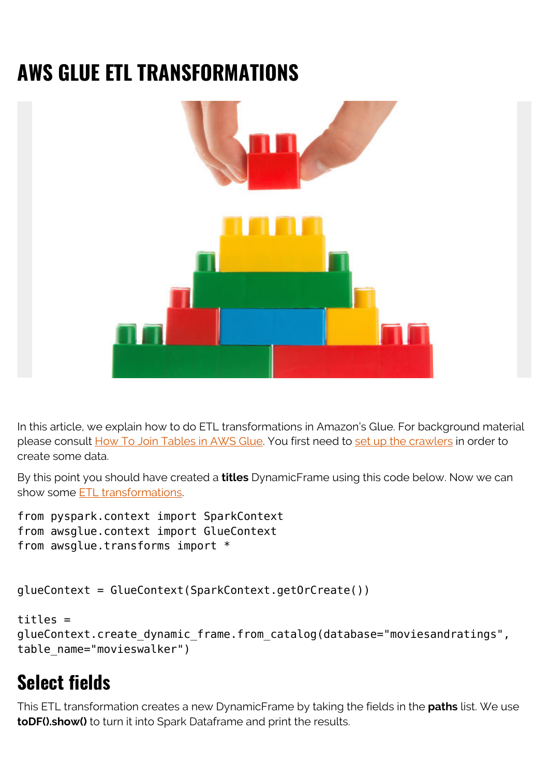# **AWS GLUE ETL TRANSFORMATIONS**



In this article, we explain how to do ETL transformations in Amazon's Glue. For background material please consult [How To Join Tables in AWS Glue](https://blogs.bmc.com/blogs/amazon-glue-join-tables/). You first need to [set up the crawlers](https://blogs.bmc.com/blogs/amazon-glue-crawler/) in order to create some data.

By this point you should have created a **titles** DynamicFrame using this code below. Now we can show some [ETL transformations](https://blogs.bmc.com/blogs/what-is-etl-extract-transform-load-etl-explained/).

```
from pyspark.context import SparkContext
from awsglue.context import GlueContext
from awsglue.transforms import *
```

```
glueContext = GlueContext(SparkContext.getOrCreate())
```

```
titles =
glueContext.create_dynamic_frame.from_catalog(database="moviesandratings",
table_name="movieswalker")
```
## **Select fields**

This ETL transformation creates a new DynamicFrame by taking the fields in the **paths** list. We use **toDF().show()** to turn it into Spark Dataframe and print the results.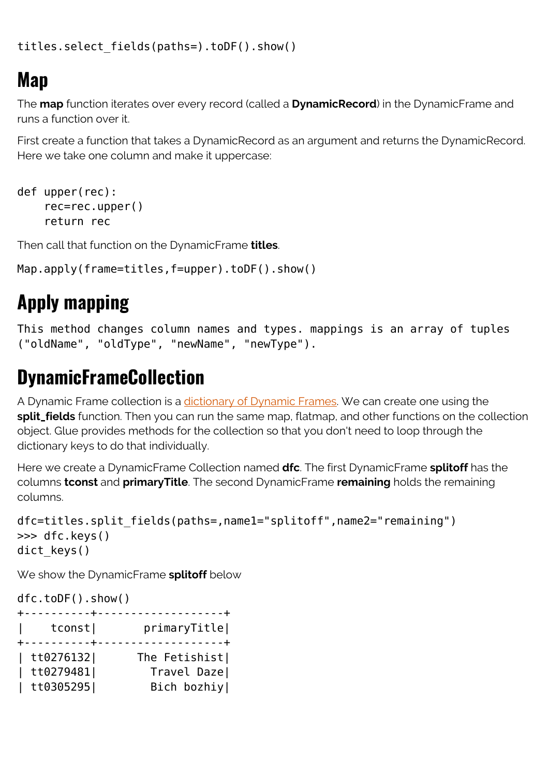```
titles.select_fields(paths=).toDF().show()
```
### **Map**

The **map** function iterates over every record (called a **DynamicRecord**) in the DynamicFrame and runs a function over it.

First create a function that takes a DynamicRecord as an argument and returns the DynamicRecord. Here we take one column and make it uppercase:

```
def upper(rec):
     rec=rec.upper()
     return rec
```
Then call that function on the DynamicFrame **titles**.

```
Map.apply(frame=titles,f=upper).toDF().show()
```
# **Apply mapping**

This method changes column names and types. mappings is an array of tuples ("oldName", "oldType", "newName", "newType").

### **DynamicFrameCollection**

A Dynamic Frame collection is a [dictionary of Dynamic Frames](https://docs.aws.amazon.com/glue/latest/dg/aws-glue-api-crawler-pyspark-extensions-dynamic-frame-collection.html). We can create one using the **split\_fields** function. Then you can run the same map, flatmap, and other functions on the collection object. Glue provides methods for the collection so that you don't need to loop through the dictionary keys to do that individually.

Here we create a DynamicFrame Collection named **dfc**. The first DynamicFrame **splitoff** has the columns **tconst** and **primaryTitle**. The second DynamicFrame **remaining** holds the remaining columns.

```
dfc=titles.split fields(paths=,name1="splitoff",name2="remaining")
>>> dfc.keys()
dict keys()
```
We show the DynamicFrame **splitoff** below

dfc.toDF().show()

|                                | +----------+-------------------+ |
|--------------------------------|----------------------------------|
| $ $ tconst<br>+----------+-    | primaryTitle <br>. <b>.</b>      |
| $tt0276132$  <br>$ $ tt0279481 | The Fetishist<br>Travel Daze     |
| $ $ tt0305295                  | Bich bozhiy                      |